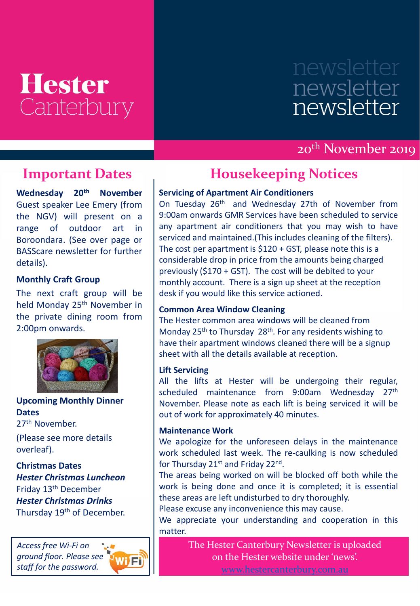## **Hester** Canterbury

# newsletter newsletter

### 20th November 2019

Guest speaker Lee Emery (from **Wednesday 20th November** the NGV) will present on a range of outdoor art in Boroondara. (See over page or BASScare newsletter for further details).

#### **Monthly Craft Group**

The next craft group will be held Monday 25<sup>th</sup> November in the private dining room from 2:00pm onwards.



**Upcoming Monthly Dinner Dates** 27th November.

(Please see more details overleaf).

**Christmas Dates** *Hester Christmas Luncheon*  Friday 13th December *Hester Christmas Drinks*  Thursday 19<sup>th</sup> of December.





### **Important Dates Housekeeping Notices**

#### **Servicing of Apartment Air Conditioners**

On Tuesday 26<sup>th</sup> and Wednesday 27th of November from 9:00am onwards GMR Services have been scheduled to service any apartment air conditioners that you may wish to have serviced and maintained.(This includes cleaning of the filters). The cost per apartment is \$120 + GST, please note this is a considerable drop in price from the amounts being charged previously (\$170 + GST). The cost will be debited to your monthly account. There is a sign up sheet at the reception desk if you would like this service actioned.

#### **Common Area Window Cleaning**

The Hester common area windows will be cleaned from Monday 25<sup>th</sup> to Thursday 28<sup>th</sup>. For any residents wishing to have their apartment windows cleaned there will be a signup sheet with all the details available at reception.

#### **Lift Servicing**

All the lifts at Hester will be undergoing their regular, scheduled maintenance from 9:00am Wednesday 27<sup>th</sup> November. Please note as each lift is being serviced it will be out of work for approximately 40 minutes.

#### **Maintenance Work**

We apologize for the unforeseen delays in the maintenance work scheduled last week. The re-caulking is now scheduled for Thursday 21st and Friday 22nd.

The areas being worked on will be blocked off both while the work is being done and once it is completed; it is essential these areas are left undisturbed to dry thoroughly.

Please excuse any inconvenience this may cause.

We appreciate your understanding and cooperation in this matter.

> The Hester Canterbury Newsletter is uploaded on the Hester website under 'news'.